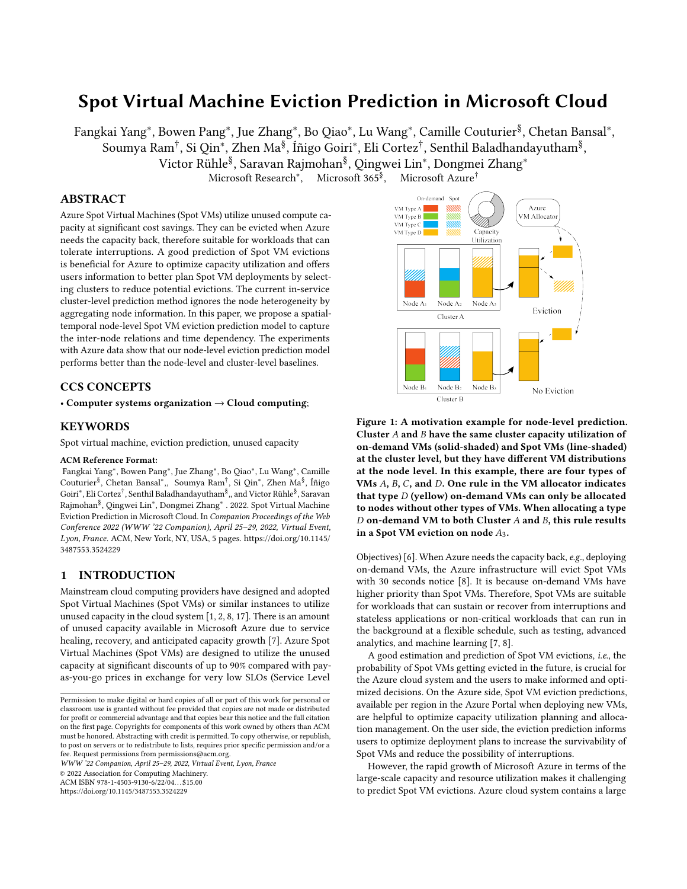# Spot Virtual Machine Eviction Prediction in Microsoft Cloud

Fangkai Yang\*, Bowen Pang\*, Jue Zhang\*, Bo Qiao\*, Lu Wang\*, Camille Couturier<sup>§</sup>, Chetan Bansal\*, Soumya Ram† , Si Qin<sup>∗</sup> , Zhen Ma§ , Íñigo Goiri<sup>∗</sup> , Eli Cortez† , Senthil Baladhandayutham§ , Victor Rühle§ , Saravan Rajmohan§ , Qingwei Lin<sup>∗</sup> , Dongmei Zhang<sup>∗</sup>

Microsoft Research<sup>\*</sup>, Microsoft  $365^{\frac{8}{3}}$ . Microsoft Azure<sup>†</sup>

# ABSTRACT

Azure Spot Virtual Machines (Spot VMs) utilize unused compute capacity at significant cost savings. They can be evicted when Azure needs the capacity back, therefore suitable for workloads that can tolerate interruptions. A good prediction of Spot VM evictions is beneficial for Azure to optimize capacity utilization and offers users information to better plan Spot VM deployments by selecting clusters to reduce potential evictions. The current in-service cluster-level prediction method ignores the node heterogeneity by aggregating node information. In this paper, we propose a spatialtemporal node-level Spot VM eviction prediction model to capture the inter-node relations and time dependency. The experiments with Azure data show that our node-level eviction prediction model performs better than the node-level and cluster-level baselines.

# CCS CONCEPTS

• Computer systems organization  $\rightarrow$  Cloud computing;

#### KEYWORDS

Spot virtual machine, eviction prediction, unused capacity

#### ACM Reference Format:

Fangkai Yang<sup>∗</sup> , Bowen Pang<sup>∗</sup> , Jue Zhang<sup>∗</sup> , Bo Qiao<sup>∗</sup> , Lu Wang<sup>∗</sup> , Camille Couturier<sup>§</sup>, Chetan Bansal\*,, Soumya Ram<sup>†</sup>, Si Qin<sup>∗</sup>, Zhen Ma<sup>§</sup>, Íñigo Goiri<sup>∗</sup> , Eli Cortez† , Senthil Baladhandayutham§ ,, and Victor Rühle§ , Saravan Rajmohan§ , Qingwei Lin<sup>∗</sup> , Dongmei Zhang<sup>∗</sup> . 2022. Spot Virtual Machine Eviction Prediction in Microsoft Cloud. In Companion Proceedings of the Web Conference 2022 (WWW '22 Companion), April 25–29, 2022, Virtual Event, Lyon, France. ACM, New York, NY, USA, [5](#page-4-0) pages. [https://doi.org/10.1145/](https://doi.org/10.1145/3487553.3524229) [3487553.3524229](https://doi.org/10.1145/3487553.3524229)

# 1 INTRODUCTION

Mainstream cloud computing providers have designed and adopted Spot Virtual Machines (Spot VMs) or similar instances to utilize unused capacity in the cloud system [\[1,](#page-4-1) [2,](#page-4-2) [8,](#page-4-3) [17\]](#page-4-4). There is an amount of unused capacity available in Microsoft Azure due to service healing, recovery, and anticipated capacity growth [\[7\]](#page-4-5). Azure Spot Virtual Machines (Spot VMs) are designed to utilize the unused capacity at significant discounts of up to 90% compared with payas-you-go prices in exchange for very low SLOs (Service Level

WWW '22 Companion, April 25–29, 2022, Virtual Event, Lyon, France

© 2022 Association for Computing Machinery.

ACM ISBN 978-1-4503-9130-6/22/04. . . \$15.00

<https://doi.org/10.1145/3487553.3524229>

<span id="page-0-0"></span>

Figure 1: A motivation example for node-level prediction. Cluster  $A$  and  $B$  have the same cluster capacity utilization of on-demand VMs (solid-shaded) and Spot VMs (line-shaded) at the cluster level, but they have different VM distributions at the node level. In this example, there are four types of VMs  $A$ ,  $B$ ,  $C$ , and  $D$ . One rule in the VM allocator indicates that type  $D$  (yellow) on-demand VMs can only be allocated to nodes without other types of VMs. When allocating a type  $D$  on-demand VM to both Cluster  $A$  and  $B$ , this rule results in a Spot VM eviction on node  $A_3$ .

Objectives) [\[6\]](#page-4-6). When Azure needs the capacity back, e.g., deploying on-demand VMs, the Azure infrastructure will evict Spot VMs with 30 seconds notice [\[8\]](#page-4-3). It is because on-demand VMs have higher priority than Spot VMs. Therefore, Spot VMs are suitable for workloads that can sustain or recover from interruptions and stateless applications or non-critical workloads that can run in the background at a flexible schedule, such as testing, advanced analytics, and machine learning [\[7,](#page-4-5) [8\]](#page-4-3).

A good estimation and prediction of Spot VM evictions, i.e., the probability of Spot VMs getting evicted in the future, is crucial for the Azure cloud system and the users to make informed and optimized decisions. On the Azure side, Spot VM eviction predictions, available per region in the Azure Portal when deploying new VMs, are helpful to optimize capacity utilization planning and allocation management. On the user side, the eviction prediction informs users to optimize deployment plans to increase the survivability of Spot VMs and reduce the possibility of interruptions.

However, the rapid growth of Microsoft Azure in terms of the large-scale capacity and resource utilization makes it challenging to predict Spot VM evictions. Azure cloud system contains a large

Permission to make digital or hard copies of all or part of this work for personal or classroom use is granted without fee provided that copies are not made or distributed for profit or commercial advantage and that copies bear this notice and the full citation on the first page. Copyrights for components of this work owned by others than ACM must be honored. Abstracting with credit is permitted. To copy otherwise, or republish, to post on servers or to redistribute to lists, requires prior specific permission and/or a fee. Request permissions from permissions@acm.org.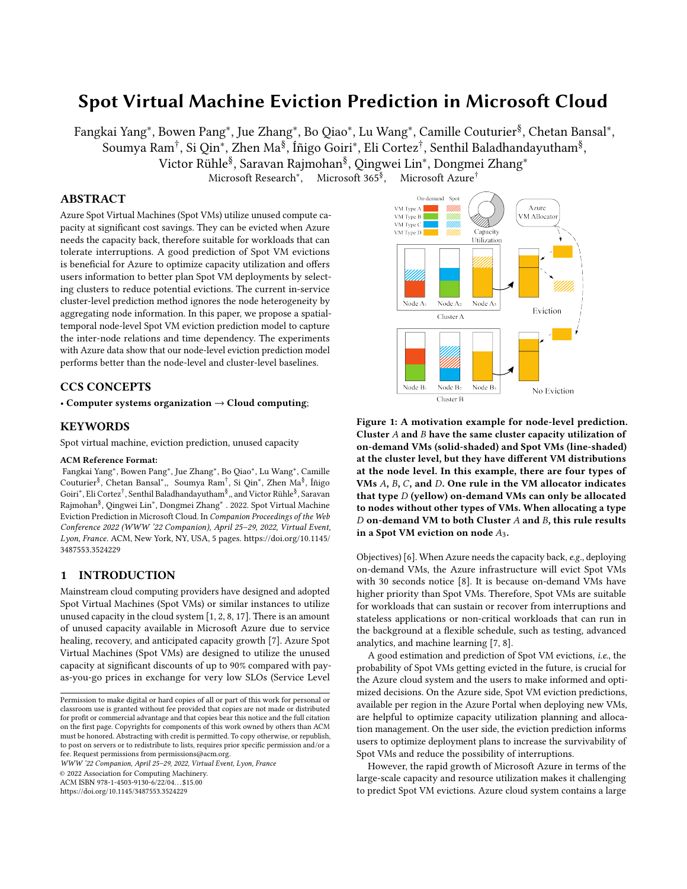WWW '22 Companion, April 25–29, 2022, Virtual Event, Lyon, France Fangkai Yang\*, Bowen Pang\*, Jue Zhang\*, Bo Qiao\*, Lu Wang\*, Camille Couturier<sup>§</sup>, Chetan Bansal\*,, Soumya Ram<sup>†</sup>, Si Qin\*, Zhen Ma<sup>§</sup>, Íñigo Goiri\*, Eli Cortez<sup>†</sup>, Senthil Baladhandayutham<sup>§</sup> "and Victor Rühle<sup>§</sup>, Saravan Rajmohan<sup>§</sup>, Qingwei Lin\*, Dongmei Zhang\*

number of physical servers, i.e., Nodes, that are allocated in different regions. Each region contains many Clusters and each cluster contains hundreds of nodes [\[14,](#page-4-7) [18\]](#page-4-8). In this paper, we investigate the challenges with the current cluster-level eviction prediction method and propose a new eviction prediction methodology in a finer granularity, i.e., at the node level, to effectively capture the spatial and temporal information of nodes. As we will see, our method improves the eviction prediction accuracy.

#### 2 CHALLENGES AND MOTIVATION

It is natural to use simulations for predicting future events in domains such as weather forecasting, and software prediction [\[20,](#page-4-9) [31\]](#page-4-10), yet it is challenging to predict Spot VM evictions via simulating future allocations of VMs and capacity needs. Indeed, one of the most critical components of the Azure system is the VM allocator [\[18\]](#page-4-8), which assigns VMs to nodes. The VM allocator is associated with numerous allocation rules and management constraints. It could allocate on-demand VMs to highly packed nodes with Spot VMs, which trigger Spot VM evictions. On the other hand, the large-scale nature and the complexity of Azure make it even harder to simulate evictions in the future. Thus, we adopt learning-based methods which do not require an allocation simulator by efficiently learning temporal patterns from historical deployment and eviction data.

The current eviction prediction method in Azure is at the cluster level. It can capture the cluster-level features, such as capacity utilization, VM deployments, and Spot VM evictions, through the historical data. As aforementioned, Azure clusters contain a large number of nodes that have heterogeneous characteristics in capacity and deployed VMs, and the Azure allocator assigns on-demand and Spot VMs to different nodes within the cluster. However, the cluster-level prediction method treats the nodes homogeneously by learning from the cluster-level features. It ignores the differences among nodes which could result in prediction errors. Taking Figure [1](#page-0-0) as an example, Spot VM evictions can still happen in clusters with enough capacity when deploying on-demand VMs. The allocator has numerous heuristic allocation rules, and constraints [\[15,](#page-4-11) [26,](#page-4-12) [29\]](#page-4-13); one of the rules prevent collocating specific VM types (here type D, in yellow) with other types. It thus deploys on-demand VMs to nodes with Spot VMs, triggering their evictions even though there is enough capacity on other nodes.

This paper is motivated by resolving the challenges when predicting Spot VM evictions at the cluster level. We propose the node-level eviction prediction methods to increase the accuracy by capturing the node heterogeneity. Then, the predicted evictions on this cluster are aggregated from the nodes with Spot VMs deployed. Moreover, a spatial-temporal framework has been used to capture the node relations and historical patterns better. As a result, the eviction prediction can be improved.

# 3 METHODOLOGY

### 3.1 Preliminaries and Definition

In practice, Azure has large-scale clusters  $C$  and each cluster  $C_i$ consists of many nodes  $N$  that can be roughly classified as nodes with Spot VMs  $N_S = \{N_{S_1}, N_{S_2}, \cdots, N_{S_P}\}$  and those without  $N_N =$  $\{N_{N_1}, N_{N_2}, \cdots, N_{N_K}\}$  in this paper. We aim to predict the Spot VM evictions  $y_{\tau}^{C_i}$  for cluster  $C_i$  at the future timestep  $\tau$ .

<span id="page-1-0"></span>

Figure 2: The overview of our node-level spatial-temporal prediction framework.

#### 3.2 Cluster-level Prediction

The cluster-level prediction method is an end-to-end solution with cluster-level features. These features are collected and simplified into time series features  $\mathcal{X}^{C_i} = \{x_1^{C_i}\}$  $\frac{C_i}{1}, x_2^{C_i}$  $c_i^{C_i}, \cdots, x_T^{C_i}$ , *i.e.*, the timeseries features of cluster  $C_i$  in the previous T hours. At each timestep t,  $x_t^{C_i} = \{x_t^1, x_t^2, \cdots, x_t^K\}$  where K is the feature dimension. These features include the information of cluster capacity, core and memory utilization, and evicted Spot VMs (see details in Section [4.1\)](#page-2-0). Then time series prediction methods (refer to Section [4.2\)](#page-2-1) are used to predict Spot VM eviction rate  $y_{\tau}^{C_l}$  in the future time  $\tau$  by taking those time series features. The objective is to minimize the mean squared error (MSE) loss  $\mathcal{L}^C_\tau$  between the predicted eviction rate  $y_{\tau}^{\hat{C}_i}$  and the target eviction rate  $y_{\tau}^{tgt, C_i}$ .

$$
\mathcal{L}_{\tau}^{C} = \frac{1}{|C|} \sum_{i=1}^{\infty} (y_{\tau}^{C_i} - y_{\tau}^{tgt, C_i})^2.
$$
 (1)

# <span id="page-1-1"></span>3.3 Node-level Prediction

In contrast to the cluster-level prediction, we adopt spatial-temporal transformer networks to capture both the inter-nodes and temporal relations in our node-level prediction method. The spatial-temporal transformer framework is proven to efficiently capture features in the domains of context generation [\[25\]](#page-4-14), behavior generation and recognition [\[13,](#page-4-15) [28,](#page-4-16) [36\]](#page-4-17) and traffic flow prediction [\[35\]](#page-4-18). However, the structure of this framework varies among these works depending on related scenarios, and we modified it to fit our eviction prediction scenario (see Figure [2\)](#page-1-0). The framework maintains the original Transformer [\[33\]](#page-4-19) architecture. The difference is that each Transformer encoder is dedicated to a specific task.

The Spatial Encoder focuses on the inter-node relations at a single timestep t with the input  $X_t^{\mathcal{N}} = X_t^{\mathcal{N}_S} \cup X_t^{\mathcal{N}_N}$ , presenting the information of P nodes with Spot VMs  $X_t^{N_S} = \{x_t^{N_{S_1}}, x_t^{N_{S_2}}, \cdots, x_t^{N_{S_P}}\}$ and K nodes without Spot VMs  $X_t^{N_N} = \{x_t^{N_{N_1}}, x_t^{N_{N_2}}, \cdots, x_t^{N_{N_K}}\}$ . Considering the fact that  $|N|$  varies among clusters and  $N_N$  contains redundant information, we merge the representations  $X_t^{N_N}$ through a merger (we use aggregation in our paper) as  $M^{N_N}_t$  to reduce the amount of calculation and memory consumption, and also lower the disturbance from redundant information. Then the input is  $\mathbf{X}_t = \{x_t^{N_{S_1}}, x_t^{N_{S_2}}, \cdots, x_t^{N_{S_P}}, M_t^{N_N}\}$ . The spatial encoder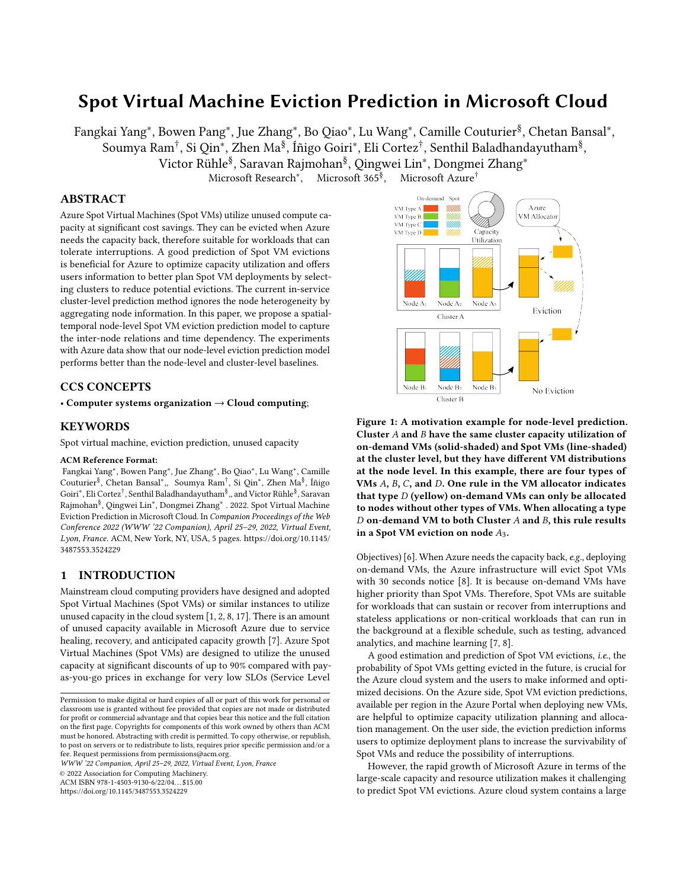keeps the architecture of Transformer encoder [\[33\]](#page-4-19) which contains a multi-head self-attention layer and a feed-forward layer, and each of them has a residual connection. The self-attention layer allows for each node to attend to other nodes by calculating the attention distribution, *i.e., Attention*( $Q, K, V$ ) =  $softmax(\frac{QK^T}{\sqrt{d}}V)$ , where  $Q$ , K, V represent query, key and value vectors that are linearly transformed from  $\mathbf{X}_t$ . The output is then fed into a feed-forward layer to have the inter-node representations  $S_t$ , which acts as inputs to the temporal encoder as follows.

The Temporal Encoder captures the temporal dependencies between timesteps from historical features. A large number of deployments and the large-scale size of Azure clusters make the related information easily covered by irrelevant and outdated representations. In this paper, we use a sliding window with a horizon of  $T$  to avoid disturbances. It takes the sequence of processed inter-node representations  $[S_1, S_2, \cdots, S_T]$  from the spatial encoder as inputs. In order to indicate the temporal position of the spatial representations, we introduce the Temporal Encoding (TE) here, similar to the positional encoding [\[33\]](#page-4-19). The structure of the temporal encoder is similar to the spatial encoder with a multi-head self-attention layer and a feed-forward layer, but the self-attention attends to the time dependency. The output  $ST = \{ST_1, ST_2, \cdots, ST_T\}$  acts as the global spatial-temporal information.

The global information is then added to the node time series feature resulting in  $X^{\mathcal{N}_{S_p}} = \{x_1^{\mathcal{N}_{S_p}}\}$  $\frac{N_{Sp}}{1}$  +  $ST_1$ ,  $x_2^{N_{Sp}}$  $\frac{N_{Sp}}{2}$  +  $ST_2, \cdots, x_T^{N_{Sp}}$  $T^{s,p}$  +  $ST_T$ }, where the node with Spot VMs, *i.e.*,  $N_{S_p}$ , is the target node we aim to predict Spot VM eviction rate  $y_{\tau}^{N_{S_p}}$  in the future timestep  $\tau$ . After obtaining predictions for all the nodes with Spot VMs  $N<sub>S</sub>$ , we aggregate the results at the cluster-level to get cluster-level evictions for comparisons. The aggregated cluster-level eviction rate  $y_{\tau}^{agg, C_i}$  is defined as:

$$
y_{\tau}^{agg, C_i} = \frac{\int_{P} N_{Sp} S_p}{\int_{P=1}^{P} Z_{Sp}} ,
$$
 (2)

where  $Z_{S_p}$  is the number of Spot VMs in node  $N_{S_p}$  at the last timestep  $T$  in the sliding window. Hence, our objective loss is similar to the cluster-level loss  $\mathcal{L}^C_\tau$  by minimizing the MSE loss between the aggregated and target eviction rate at the cluster level.

#### 4 EXPERIMENTAL EVALUATION

#### <span id="page-2-0"></span>4.1 Experimental Setup

The data we used for the experiments are collected from the Azure cloud system. The training dataset consists of recent two weeks' data from 20 clusters containing around 12000 nodes, and the testing dataset collects the data in the following one week from the same clusters. The data are collected per hour. At each timestep, the node features include the number of on-demand and Spot VMs, node capacity (core and memory), node capacity utilization (core and memory utilization), evicted core/memory/number of Spot VMs from the previous 3 hours till the current timestep, and evicted core/memory/number of Spot VMs from current timestep to the next 3 hours. Note that the eviction in this paper is defined as the number of Spot VMs at the current timestep that gets evicted

in the future, and we do not consider the evictions of future deployed Spot VMs. The cluster features are aggregated by the node features within this cluster. In order to reduce computation and memory consumption, we use a sliding window (Section [3.3\)](#page-1-1) with 48 hours to make one data sample. Note that for the last three timesteps in every training sample, we remove the features of evicted core/memory/number of Spot VMs to the next hours, preventing the future formation leak in training,  $e.g., X_T$  does not have eviction information from timestep  $T + 1$ ,  $T + 2$ ,  $T + 3$ . Similarly,  $X_{T-1}$  can not see the eviction features at timestep  $T + 2$ ,  $T + 3$ , and  $X_{T-2}$  can not see  $T + 3$ . We experiment our model and baselines (see Section [4.2\)](#page-2-1) with the above collected data. All experiments are performed on a machine with Intel(R) Xeon(R) CPU E5-2690 @ 2.6GHz and [1](#page-2-2)12GB memory. The implementation is available<sup>1</sup>.

#### <span id="page-2-1"></span>4.2 Baselines

Four commonly used time series prediction approaches in industries, i.e., Linear Regression (LR) [\[30\]](#page-4-20), Random Forest (RF) [\[10\]](#page-4-21), Gradient Boosting Decision Tree (GBDT) [\[16\]](#page-4-22), Support Vector Regression (SVR) [\[5\]](#page-4-23), and Long Short-term Memory (LSTM) [\[19\]](#page-4-24) are adopted to have cluster-level and node-level eviction predictions. For the node-level prediction methods, after all the nodes with Spot VMs at the current timestep have predicted the eviction rate in the next three hours, they are aggregated at the cluster level to get the eviction rate in this cluster. This node-level aggregated eviction rate is then compared with the cluster-level predictions. We evaluate these methods with RMSE on the next one, two and three hours.

#### 4.3 Experimental Results

In this paper, we aim to address three research questions:

• RQ1: Does node-level prediction contribute to improving eviction rate prediction on cluster-level?

As shown in Table [1,](#page-3-0) our node-level spatial-temporal model performs better than other node-level and cluster-level baselines. It takes the spatial-temporal information from other nodes to improve prediction. Among the baselines, node-level prediction methods are generally not better than the cluster-level ones with the same algorithm. In particular, regression methods (RF, GBDT, SVR) have better performance at the cluster level. It might be that training on nodes alone from all clusters causes unnecessary noise but fails to capture a general temporal node pattern. LSTM-based methods have a poor performance than the regression methods (RF, GBDT, SVR), and there are a few works discussing the performance issue of LSTM learning on sequential data [\[12,](#page-4-25) [33\]](#page-4-19). It is notable that GBDT-Cluster shows a close performance with our model.

• RQ2: How does prediction accuracy change with the prediction horizon?

Table [1](#page-3-0) shows a trend of increased RMSE with increasing predicted time horizon, i.e., a longer-time prediction leads to a higher RMSE. However, we do see that for some of the baseline methods, the error doesn't increase monotonically (e.g., larger error for the 2-hour prediction). This could be due to noise in the data leading to statistical fluctuations, or redundancy in the nodes, that these baseline methods fail to tackle with the amount of data provided.

<span id="page-2-2"></span><sup>1</sup> <aka.ms/EvictionPrediction>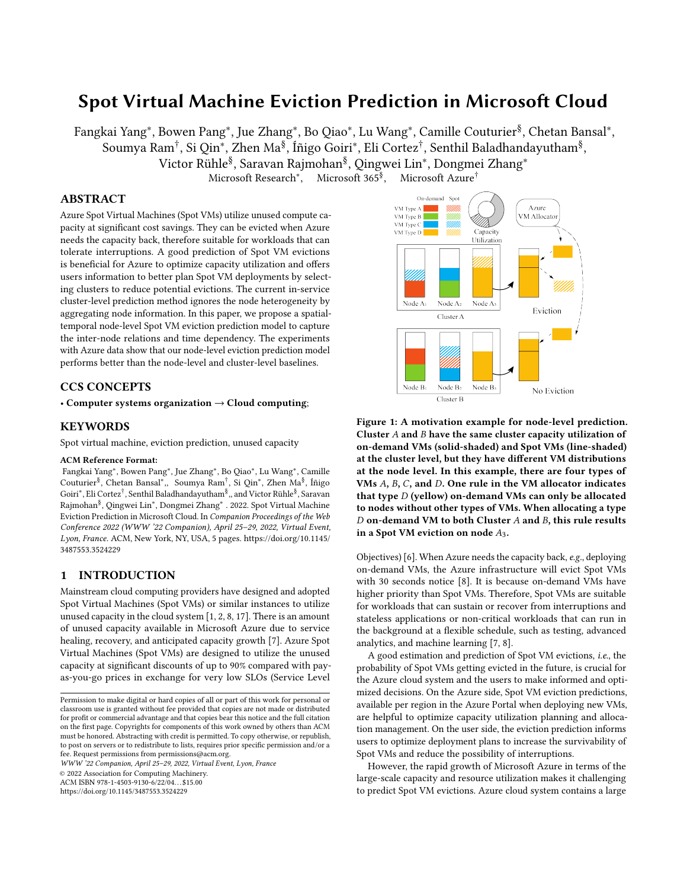WWW '22 Companion, April 25–29, 2022, Virtual Event, Lyon, France Fangkai Yang\*, Bowen Pang\*, Jue Zhang\*, Bo Qiao\*, Lu Wang\*, Camille Couturier<sup>§</sup>, Chetan Bansal\*,, Soumya Ram<sup>†</sup>, Si Qin\*, Zhen Ma<sup>§</sup>, Íñigo Goiri\*, Eli Cortez<sup>†</sup>, Senthil Baladhandayutham<sup>§</sup> "and Victor Rühle<sup>§</sup>, Saravan Rajmohan<sup>§</sup>, Qingwei Lin\*, Dongmei Zhang\*

| Method             | 1-hour $(\%)$ | 2-hour $(\%)$ | 3-hour $(\%)$ |
|--------------------|---------------|---------------|---------------|
| $LR$ -Cluster [30] | 48.45         | 61.24         | 57.00         |
| $LR-Node$ [30]     | 43.30         | 53.49         | 46.20         |
| RF-Cluster [10]    | 17.79         | 19.82         | 22.17         |
| RF-Node [10]       | 23.56         | 13.68         | 23.51         |
| GBDT-Cluster [16]  | 15.61         | 18.25         | 19.13         |
| GBDT-Node [16]     | 23.51         | 13.68         | 22.77         |
| SVR-Cluster [5]    | 23.31         | 24.53         | 24.85         |
| SVR-Node [5]       | 23.30         | 12.74         | 24.40         |
| LSTM-Cluster [19]  | 31.31         | 32.01         | 30.72         |
| LSTM-Node [19]     | 26.19         | 49.09         | 37.99         |
| Our model          | 13.77         | 16.82         | 18.50         |

<span id="page-3-0"></span>Table 1: Spot VM eviction prediction performance (RMSE, lower is better)

Our method shows a monotonic RMSE increase with an increasing prediction horizon when considering all clusters. This does not hold for all cluster buckets (see RQ3). The two weeks of training data and the length of sliding window were constrained by the current implementation of the self-attention architecture, which has quadratic time/space complexity. As follow-up work, we plan to modify the self-attention layer as in Reformer [\[24\]](#page-4-26) and Longformer [\[9\]](#page-4-27) to allow training on longer sequences and periods while reducing the training and inference time.

• RQ3: Does the capacity utilization of the clusters have any relation to the prediction accuracy?

We bucketize all the clusters from our dataset into four buckets based on the core utilization, i.e., bucket A with core utilization range from 80% to 100%, bucket B with 60% to 80%, etc. As shown in Table [2,](#page-3-1) clusters with high core utilization generally have a lower Spot/On-demand ratio, which indicates Spot VMs are much fewer in the highly packed nodes. On the other hand, cluster bucket D has more Spot VMs than on-demand VMs, indicating that clusters with lower core utilization are preferable and safer for Spot VMs. Our node-level eviction prediction model has higher accuracy in cluster buckets with higher and lower core utilization, but it performs poorly in clusters with around half core utilization. It might be because the evictions in the clusters with high and low core utilization are more predictable, e.g., more evictions in highly coreutilized clusters and fewer evictions in low core-utilized ones. The bottleneck of the prediction method lies in those bucket C clusters that are more dynamic and unpredictable. One of our further works is to include future deployment information to improve our prediction model since we can obtain the deployment notification ahead of the deployment actions.

## 5 APPLICATION IN PRACTICE

The prediction of the eviction rate of Spot VMs has been applied to several scenarios in Azure. During the Spot VM allocation, we leverage the predicted eviction rates to choose suitable clusters to match with the service's SLO. When evictions occur, Azure has the mechanism of retrying spot VMs across different clusters in the same region, and the newly-chosen clusters are often required to have less predicted eviction rates than the existing ones. Therefore,

<span id="page-3-1"></span>Table 2: Spot VM eviction prediction performance with our model in bucketized clusters.

| Cluster buckets       | $A(100-80)$ | $B(80-60)$ | $C(60-40)$ | $D(40-20)$ |
|-----------------------|-------------|------------|------------|------------|
| Core util $(\%)$      | 86.10       | 73.09      | 54.27      | 26.70      |
| Spot/On-demand $(\%)$ | 8.71        | 27.29      | 23.00      | 195.49     |
| 1-hour RMSE (%)       | 10.11       | 10.58      | 28.11      | 14.80      |
| 2-hour RMSE (%)       | 11.08       | 11.76      | 26.42      | 13.73      |
| 3-hour RMSE (%)       | 12.36       | 12.31      | 24.04      | 20.58      |

choosing which new clusters for spot VM restoration is also guided by the eviction rate prediction results. With the improved prediction method described in this work, the decisions on both allocation and restoration are further optimized, reducing unnecessary service interruptions arising from imprecise eviction rate prediction.

# 6 RELATED WORK

Spot VMs or similar preemptible instances are used in cloud computing providers, including Microsoft Azure [\[8\]](#page-4-3), Amazon [\[2\]](#page-4-2), Google [\[17\]](#page-4-4), and Alibaba [\[1\]](#page-4-1). In all of these providers, the spot VMs or instances are evictable based on the supply and demand relations. In addition, Harvest VMs [\[4\]](#page-4-28) offer a more flexible way to utilize unused capacity. Although cloud computing providers conduct reports on analyzing the eviction scenarios [\[3,](#page-4-29) [8\]](#page-4-3), very few works can be found that research and explore on the Spot VM eviction prediction and its applications. There are methods in the literature working on time series prediction on the behaviors of a cloud computing system using multiple signals such as workload and performance [\[23,](#page-4-30) [27,](#page-4-31) [32,](#page-4-32) [34\]](#page-4-33). Researchers also integrated the time series prediction model with the information summarized from historical data [\[4,](#page-4-28) [14,](#page-4-7) [21,](#page-4-34) [22\]](#page-4-35). Research on the hierarchical spatial-temporal structure for the time-series prediction problem can also be found in recent literature to improve prediction accuracy [\[11,](#page-4-36) [13,](#page-4-15) [35,](#page-4-18) [37\]](#page-4-37). However, most of these works are strongly scenario-related and not directly applicable to the Spot VM eviction prediction problem.

## 7 CONCLUSION

In this paper, we investigate Spot VM eviction prediction methods at the node level and the cluster level. We present our node-level spatial-temporal prediction method and its application in Microsoft Azure. Our experiments on industrial datasets collected by the Azure cloud system show that our model outperforms the nodelevel and cluster-level baselines with higher prediction accuracy. By answering three proposed research questions, we found that: 1) cluster-level prediction baselines generally perform better than their node-level implementations, 2) a longer-time prediction has a lower prediction accuracy in cluster-level baselines and our model, which is not observed at the node-level, 3) clusters with medium core utilization is the bottleneck case of our prediction model. We also demonstrate the application of the proposed eviction prediction in Spot VM retry and restoration in Azure.

## 8 ACKNOWLEDGEMENT

We thank Chuan Luo, Mahmoud Sayed, Yandan Wang, Gurpreet Virdi for their extensive knowledge and insightful suggestions.